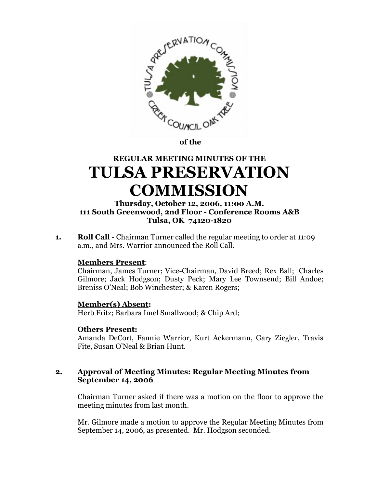

**of the** 

# **REGULAR MEETING MINUTES OF THE TULSA PRESERVATION COMMISSION**

## **Thursday, October 12, 2006, 11:00 A.M. 111 South Greenwood, 2nd Floor - Conference Rooms A&B Tulsa, OK 74120-1820**

**1. Roll Call** - Chairman Turner called the regular meeting to order at 11:09 a.m., and Mrs. Warrior announced the Roll Call.

## **Members Present**:

Chairman, James Turner; Vice-Chairman, David Breed; Rex Ball; Charles Gilmore; Jack Hodgson; Dusty Peck; Mary Lee Townsend; Bill Andoe; Breniss O'Neal; Bob Winchester; & Karen Rogers;

## **Member(s) Absent:**

Herb Fritz; Barbara Imel Smallwood; & Chip Ard;

#### **Others Present:**

Amanda DeCort, Fannie Warrior, Kurt Ackermann, Gary Ziegler, Travis Fite, Susan O'Neal & Brian Hunt.

## **2. Approval of Meeting Minutes: Regular Meeting Minutes from September 14, 2006**

Chairman Turner asked if there was a motion on the floor to approve the meeting minutes from last month.

Mr. Gilmore made a motion to approve the Regular Meeting Minutes from September 14, 2006, as presented. Mr. Hodgson seconded.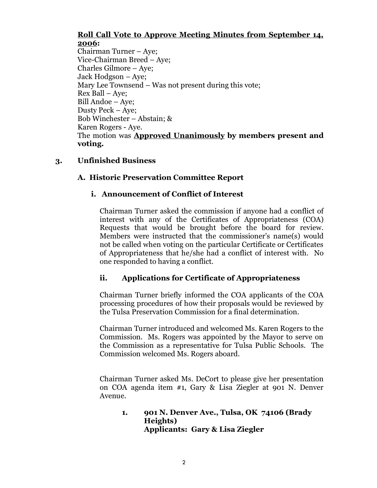### **Roll Call Vote to Approve Meeting Minutes from September 14, 2006:**

Chairman Turner – Aye; Vice-Chairman Breed – Aye; Charles Gilmore – Aye; Jack Hodgson – Aye; Mary Lee Townsend – Was not present during this vote; Rex Ball – Aye; Bill Andoe – Aye; Dusty Peck – Aye; Bob Winchester – Abstain; & Karen Rogers - Aye. The motion was **Approved Unanimously by members present and voting.**

## **3. Unfinished Business**

## **A. Historic Preservation Committee Report**

## **i. Announcement of Conflict of Interest**

Chairman Turner asked the commission if anyone had a conflict of interest with any of the Certificates of Appropriateness (COA) Requests that would be brought before the board for review. Members were instructed that the commissioner's name(s) would not be called when voting on the particular Certificate or Certificates of Appropriateness that he/she had a conflict of interest with. No one responded to having a conflict.

# **ii. Applications for Certificate of Appropriateness**

Chairman Turner briefly informed the COA applicants of the COA processing procedures of how their proposals would be reviewed by the Tulsa Preservation Commission for a final determination.

Chairman Turner introduced and welcomed Ms. Karen Rogers to the Commission. Ms. Rogers was appointed by the Mayor to serve on the Commission as a representative for Tulsa Public Schools. The Commission welcomed Ms. Rogers aboard.

Chairman Turner asked Ms. DeCort to please give her presentation on COA agenda item #1, Gary & Lisa Ziegler at 901 N. Denver Avenue.

## **1. 901 N. Denver Ave., Tulsa, OK 74106 (Brady Heights) Applicants: Gary & Lisa Ziegler**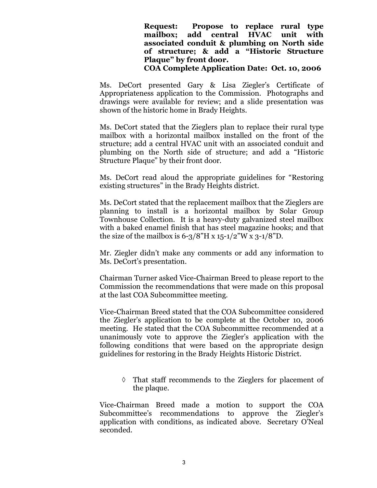## **Request: Propose to replace rural type mailbox; add central HVAC unit with associated conduit & plumbing on North side of structure; & add a "Historic Structure Plaque" by front door.**

#### **COA Complete Application Date: Oct. 10, 2006**

Ms. DeCort presented Gary & Lisa Ziegler's Certificate of Appropriateness application to the Commission. Photographs and drawings were available for review; and a slide presentation was shown of the historic home in Brady Heights.

Ms. DeCort stated that the Zieglers plan to replace their rural type mailbox with a horizontal mailbox installed on the front of the structure; add a central HVAC unit with an associated conduit and plumbing on the North side of structure; and add a "Historic Structure Plaque" by their front door.

Ms. DeCort read aloud the appropriate guidelines for "Restoring existing structures" in the Brady Heights district.

Ms. DeCort stated that the replacement mailbox that the Zieglers are planning to install is a horizontal mailbox by Solar Group Townhouse Collection. It is a heavy-duty galvanized steel mailbox with a baked enamel finish that has steel magazine hooks; and that the size of the mailbox is  $6-3/8$ "H x  $15-1/2$ "W x  $3-1/8$ "D.

Mr. Ziegler didn't make any comments or add any information to Ms. DeCort's presentation.

Chairman Turner asked Vice-Chairman Breed to please report to the Commission the recommendations that were made on this proposal at the last COA Subcommittee meeting.

Vice-Chairman Breed stated that the COA Subcommittee considered the Ziegler's application to be complete at the October 10, 2006 meeting. He stated that the COA Subcommittee recommended at a unanimously vote to approve the Ziegler's application with the following conditions that were based on the appropriate design guidelines for restoring in the Brady Heights Historic District.

 That staff recommends to the Zieglers for placement of the plaque.

Vice-Chairman Breed made a motion to support the COA Subcommittee's recommendations to approve the Ziegler's application with conditions, as indicated above. Secretary O'Neal seconded.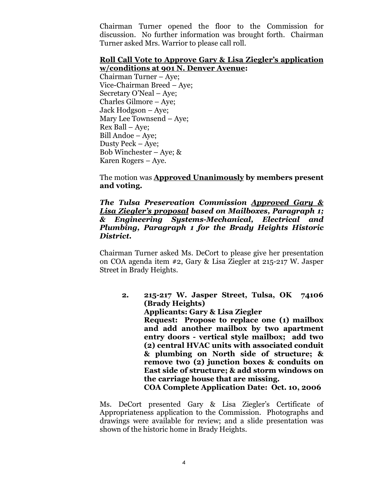Chairman Turner opened the floor to the Commission for discussion. No further information was brought forth. Chairman Turner asked Mrs. Warrior to please call roll.

#### **Roll Call Vote to Approve Gary & Lisa Ziegler's application w/conditions at 901 N. Denver Avenue:**

Chairman Turner – Aye; Vice-Chairman Breed – Aye; Secretary O'Neal – Aye; Charles Gilmore – Aye; Jack Hodgson – Aye; Mary Lee Townsend –Aye; Rex Ball – Aye; Bill Andoe – Aye; Dusty Peck – Aye; Bob Winchester – Aye;  $\&$ Karen Rogers – Aye.

The motion was **Approved Unanimously by members present and voting.**

*The Tulsa Preservation Commission Approved Gary & Lisa Ziegler's proposal based on Mailboxes, Paragraph 1; & Engineering Systems-Mechanical, Electrical and Plumbing, Paragraph 1 for the Brady Heights Historic District.*

Chairman Turner asked Ms. DeCort to please give her presentation on COA agenda item #2, Gary & Lisa Ziegler at 215-217 W. Jasper Street in Brady Heights.

**2. 215-217 W. Jasper Street, Tulsa, OK 74106 (Brady Heights) Applicants: Gary & Lisa Ziegler Request: Propose to replace one (1) mailbox and add another mailbox by two apartment entry doors - vertical style mailbox; add two (2) central HVAC units with associated conduit & plumbing on North side of structure; & remove two (2) junction boxes & conduits on East side of structure; & add storm windows on the carriage house that are missing. COA Complete Application Date: Oct. 10, 2006**

Ms. DeCort presented Gary & Lisa Ziegler's Certificate of Appropriateness application to the Commission. Photographs and drawings were available for review; and a slide presentation was shown of the historic home in Brady Heights.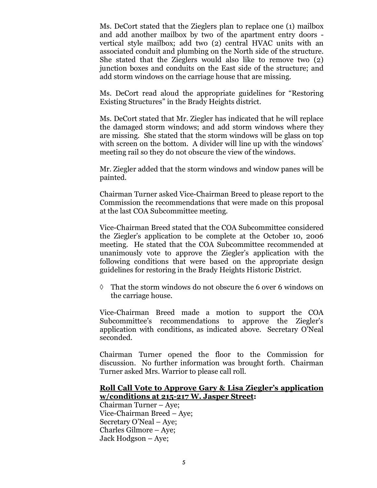Ms. DeCort stated that the Zieglers plan to replace one (1) mailbox and add another mailbox by two of the apartment entry doors vertical style mailbox; add two (2) central HVAC units with an associated conduit and plumbing on the North side of the structure. She stated that the Zieglers would also like to remove two (2) junction boxes and conduits on the East side of the structure; and add storm windows on the carriage house that are missing.

Ms. DeCort read aloud the appropriate guidelines for "Restoring Existing Structures" in the Brady Heights district.

Ms. DeCort stated that Mr. Ziegler has indicated that he will replace the damaged storm windows; and add storm windows where they are missing. She stated that the storm windows will be glass on top with screen on the bottom. A divider will line up with the windows' meeting rail so they do not obscure the view of the windows.

Mr. Ziegler added that the storm windows and window panes will be painted.

Chairman Turner asked Vice-Chairman Breed to please report to the Commission the recommendations that were made on this proposal at the last COA Subcommittee meeting.

Vice-Chairman Breed stated that the COA Subcommittee considered the Ziegler's application to be complete at the October 10, 2006 meeting. He stated that the COA Subcommittee recommended at unanimously vote to approve the Ziegler's application with the following conditions that were based on the appropriate design guidelines for restoring in the Brady Heights Historic District.

 $\Diamond$  That the storm windows do not obscure the 6 over 6 windows on the carriage house.

Vice-Chairman Breed made a motion to support the COA Subcommittee's recommendations to approve the Ziegler's application with conditions, as indicated above. Secretary O'Neal seconded.

Chairman Turner opened the floor to the Commission for discussion. No further information was brought forth. Chairman Turner asked Mrs. Warrior to please call roll.

## **Roll Call Vote to Approve Gary & Lisa Ziegler's application w/conditions at 215-217 W. Jasper Street:**

Chairman Turner – Aye; Vice-Chairman Breed – Aye; Secretary O'Neal – Aye; Charles Gilmore – Aye; Jack Hodgson – Aye;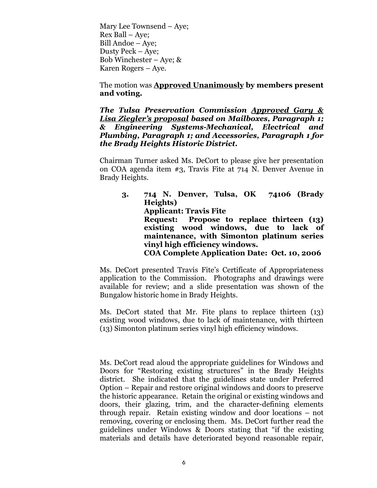Mary Lee Townsend –Aye; Rex Ball – Aye; Bill Andoe – Aye; Dusty Peck – Aye; Bob Winchester – Aye;  $\&$ Karen Rogers – Aye.

The motion was **Approved Unanimously by members present and voting.**

*The Tulsa Preservation Commission Approved Gary & Lisa Ziegler's proposal based on Mailboxes, Paragraph 1; & Engineering Systems-Mechanical, Electrical and Plumbing, Paragraph 1; and Accessories, Paragraph 1 for the Brady Heights Historic District.*

Chairman Turner asked Ms. DeCort to please give her presentation on COA agenda item #3, Travis Fite at 714 N. Denver Avenue in Brady Heights.

**3. 714 N. Denver, Tulsa, OK 74106 (Brady Heights) Applicant: Travis Fite Request: Propose to replace thirteen (13) existing wood windows, due to lack of maintenance, with Simonton platinum series vinyl high efficiency windows. COA Complete Application Date: Oct. 10, 2006**

Ms. DeCort presented Travis Fite's Certificate of Appropriateness application to the Commission. Photographs and drawings were available for review; and a slide presentation was shown of the Bungalow historic home in Brady Heights.

Ms. DeCort stated that Mr. Fite plans to replace thirteen (13) existing wood windows, due to lack of maintenance, with thirteen (13) Simonton platinum series vinyl high efficiency windows.

Ms. DeCort read aloud the appropriate guidelines for Windows and Doors for "Restoring existing structures" in the Brady Heights district. She indicated that the guidelines state under Preferred Option – Repair and restore original windows and doors to preserve the historic appearance. Retain the original or existing windows and doors, their glazing, trim, and the character-defining elements through repair. Retain existing window and door locations – not removing, covering or enclosing them. Ms. DeCort further read the guidelines under Windows & Doors stating that "if the existing materials and details have deteriorated beyond reasonable repair,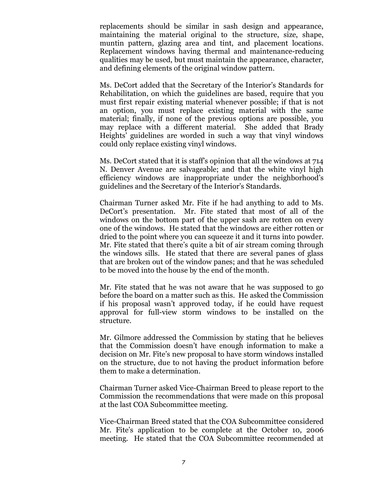replacements should be similar in sash design and appearance, maintaining the material original to the structure, size, shape, muntin pattern, glazing area and tint, and placement locations. Replacement windows having thermal and maintenance-reducing qualities may be used, but must maintain the appearance, character, and defining elements of the original window pattern.

Ms. DeCort added that the Secretary of the Interior's Standards for Rehabilitation, on which the guidelines are based, require that you must first repair existing material whenever possible; if that is not an option, you must replace existing material with the same material; finally, if none of the previous options are possible, you may replace with a different material. She added that Brady Heights' guidelines are worded in such a way that vinyl windows could only replace existing vinyl windows.

Ms. DeCort stated that it is staff's opinion that all the windows at 714 N. Denver Avenue are salvageable; and that the white vinyl high efficiency windows are inappropriate under the neighborhood's guidelines and the Secretary of the Interior's Standards.

Chairman Turner asked Mr. Fite if he had anything to add to Ms. DeCort's presentation. Mr. Fite stated that most of all of the windows on the bottom part of the upper sash are rotten on every one of the windows. He stated that the windows are either rotten or dried to the point where you can squeeze it and it turns into powder. Mr. Fite stated that there's quite a bit of air stream coming through the windows sills. He stated that there are several panes of glass that are broken out of the window panes; and that he was scheduled to be moved into the house by the end of the month.

Mr. Fite stated that he was not aware that he was supposed to go before the board on a matter such as this. He asked the Commission if his proposal wasn't approved today, if he could have request approval for full-view storm windows to be installed on the structure.

Mr. Gilmore addressed the Commission by stating that he believes that the Commission doesn't have enough information to make a decision on Mr. Fite's new proposal to have storm windows installed on the structure, due to not having the product information before them to make a determination.

Chairman Turner asked Vice-Chairman Breed to please report to the Commission the recommendations that were made on this proposal at the last COA Subcommittee meeting.

Vice-Chairman Breed stated that the COA Subcommittee considered Mr. Fite's application to be complete at the October 10, 2006 meeting. He stated that the COA Subcommittee recommended at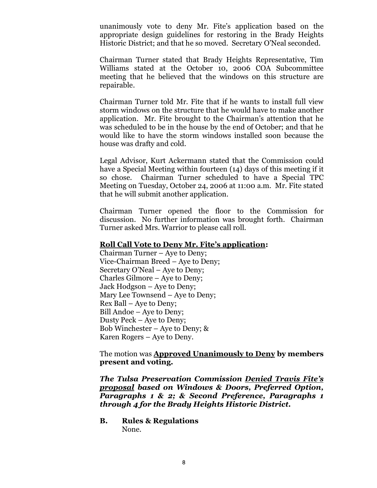unanimously vote to deny Mr. Fite's application based on the appropriate design guidelines for restoring in the Brady Heights Historic District; and that he so moved. Secretary O'Neal seconded.

Chairman Turner stated that Brady Heights Representative, Tim Williams stated at the October 10, 2006 COA Subcommittee meeting that he believed that the windows on this structure are repairable.

Chairman Turner told Mr. Fite that if he wants to install full view storm windows on the structure that he would have to make another application. Mr. Fite brought to the Chairman's attention that he was scheduled to be in the house by the end of October; and that he would like to have the storm windows installed soon because the house was drafty and cold.

Legal Advisor, Kurt Ackermann stated that the Commission could have a Special Meeting within fourteen (14) days of this meeting if it so chose. Chairman Turner scheduled to have a Special TPC Meeting on Tuesday, October 24, 2006 at 11:00 a.m. Mr. Fite stated that he will submit another application.

Chairman Turner opened the floor to the Commission for discussion. No further information was brought forth. Chairman Turner asked Mrs. Warrior to please call roll.

#### **Roll Call Vote to Deny Mr. Fite's application:**

Chairman Turner – Aye to Deny; Vice-Chairman Breed – Aye to Deny; Secretary O'Neal – Aye to Deny; Charles Gilmore – Aye to Deny; Jack Hodgson – Aye to Deny; Mary Lee Townsend – Aye to Deny; Rex Ball – Aye to Deny; Bill Andoe – Aye to Deny; Dusty Peck – Aye to Deny; Bob Winchester – Aye to Deny; & Karen Rogers – Aye to Deny.

The motion was **Approved Unanimously to Deny by members present and voting.**

*The Tulsa Preservation Commission Denied Travis Fite's proposal based on Windows & Doors, Preferred Option, Paragraphs 1 & 2; & Second Preference, Paragraphs 1 through 4 for the Brady Heights Historic District.*

**B. Rules & Regulations** None.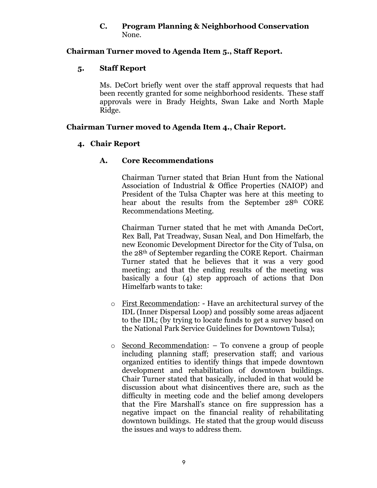#### **C. Program Planning & Neighborhood Conservation** None.

## **Chairman Turner moved to Agenda Item 5., Staff Report.**

## **5. Staff Report**

Ms. DeCort briefly went over the staff approval requests that had been recently granted for some neighborhood residents. These staff approvals were in Brady Heights, Swan Lake and North Maple Ridge.

## **Chairman Turner moved to Agenda Item 4., Chair Report.**

## **4. Chair Report**

## **A. Core Recommendations**

Chairman Turner stated that Brian Hunt from the National Association of Industrial & Office Properties (NAIOP) and President of the Tulsa Chapter was here at this meeting to hear about the results from the September 28<sup>th</sup> CORE Recommendations Meeting.

Chairman Turner stated that he met with Amanda DeCort, Rex Ball, Pat Treadway, Susan Neal, and Don Himelfarb, the new Economic Development Director for the City of Tulsa, on the 28th of September regarding the CORE Report. Chairman Turner stated that he believes that it was a very good meeting; and that the ending results of the meeting was basically a four (4) step approach of actions that Don Himelfarb wants to take:

- o First Recommendation: Have an architectural survey of the IDL (Inner Dispersal Loop) and possibly some areas adjacent to the IDL; (by trying to locate funds to get a survey based on the National Park Service Guidelines for Downtown Tulsa);
- o Second Recommendation: To convene a group of people including planning staff; preservation staff; and various organized entities to identify things that impede downtown development and rehabilitation of downtown buildings. Chair Turner stated that basically, included in that would be discussion about what disincentives there are, such as the difficulty in meeting code and the belief among developers that the Fire Marshall's stance on fire suppression has a negative impact on the financial reality of rehabilitating downtown buildings. He stated that the group would discuss the issues and ways to address them.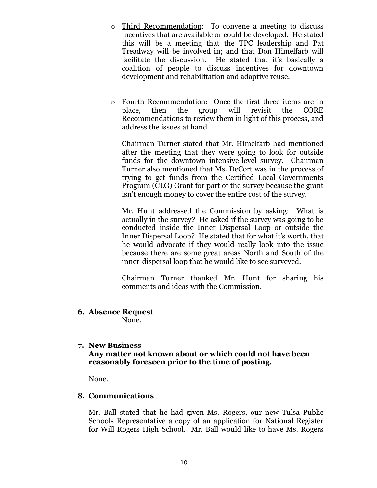- o Third Recommendation: To convene a meeting to discuss incentives that are available or could be developed. He stated this will be a meeting that the TPC leadership and Pat Treadway will be involved in; and that Don Himelfarb will facilitate the discussion. He stated that it's basically a coalition of people to discuss incentives for downtown development and rehabilitation and adaptive reuse.
- o Fourth Recommendation: Once the first three items are in place, then the group will revisit the CORE Recommendations to review them in light of this process, and address the issues at hand.

Chairman Turner stated that Mr. Himelfarb had mentioned after the meeting that they were going to look for outside funds for the downtown intensive-level survey. Chairman Turner also mentioned that Ms. DeCort was in the process of trying to get funds from the Certified Local Governments Program (CLG) Grant for part of the survey because the grant isn't enough money to cover the entire cost of the survey.

Mr. Hunt addressed the Commission by asking: What is actually in the survey? He asked if the survey was going to be conducted inside the Inner Dispersal Loop or outside the Inner Dispersal Loop? He stated that for what it's worth, that he would advocate if they would really look into the issue because there are some great areas North and South of the inner-dispersal loop that he would like to see surveyed.

Chairman Turner thanked Mr. Hunt for sharing his comments and ideas with the Commission.

**6. Absence Request**

None.

## **7. New Business**

## **Any matter not known about or which could not have been reasonably foreseen prior to the time of posting.**

None.

# **8. Communications**

Mr. Ball stated that he had given Ms. Rogers, our new Tulsa Public Schools Representative a copy of an application for National Register for Will Rogers High School. Mr. Ball would like to have Ms. Rogers